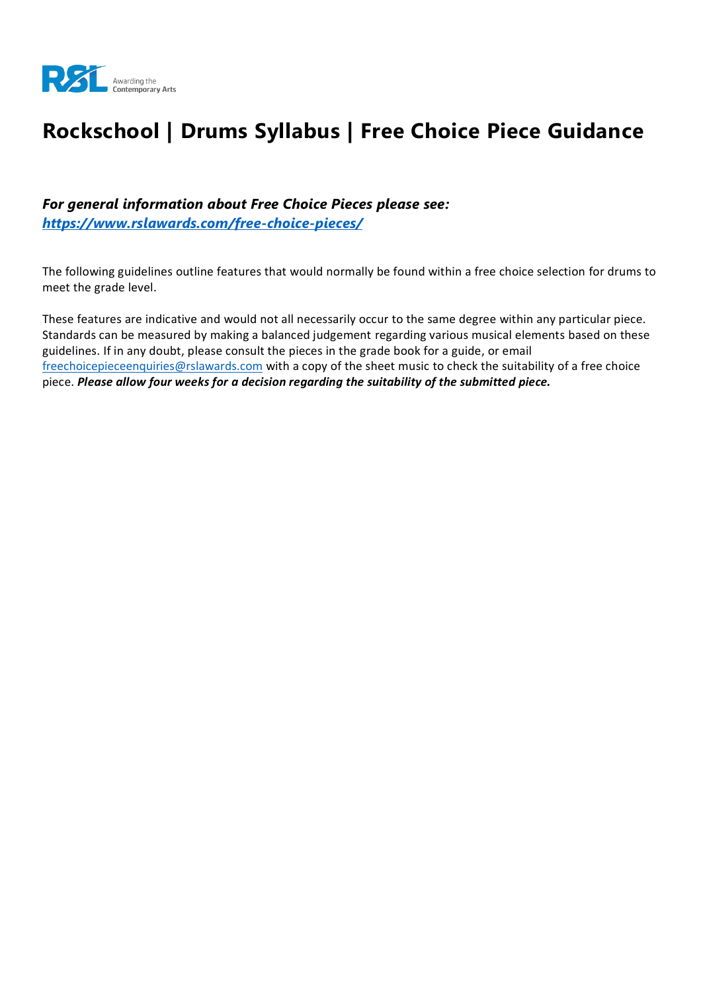

# **Rockschool | Drums Syllabus | Free Choice Piece Guidance**

*For general information about Free Choice Pieces please see: <https://www.rslawards.com/free-choice-pieces/>*

The following guidelines outline features that would normally be found within a free choice selection for drums to meet the grade level.

These features are indicative and would not all necessarily occur to the same degree within any particular piece. Standards can be measured by making a balanced judgement regarding various musical elements based on these guidelines. If in any doubt, please consult the pieces in the grade book for a guide, or email [freechoicepieceenquiries@rslawards.com](mailto:freechoicepieceenquiries@rslawards.com) with a copy of the sheet music to check the suitability of a free choice piece. *Please allow four weeks for a decision regarding the suitability of the submitted piece.*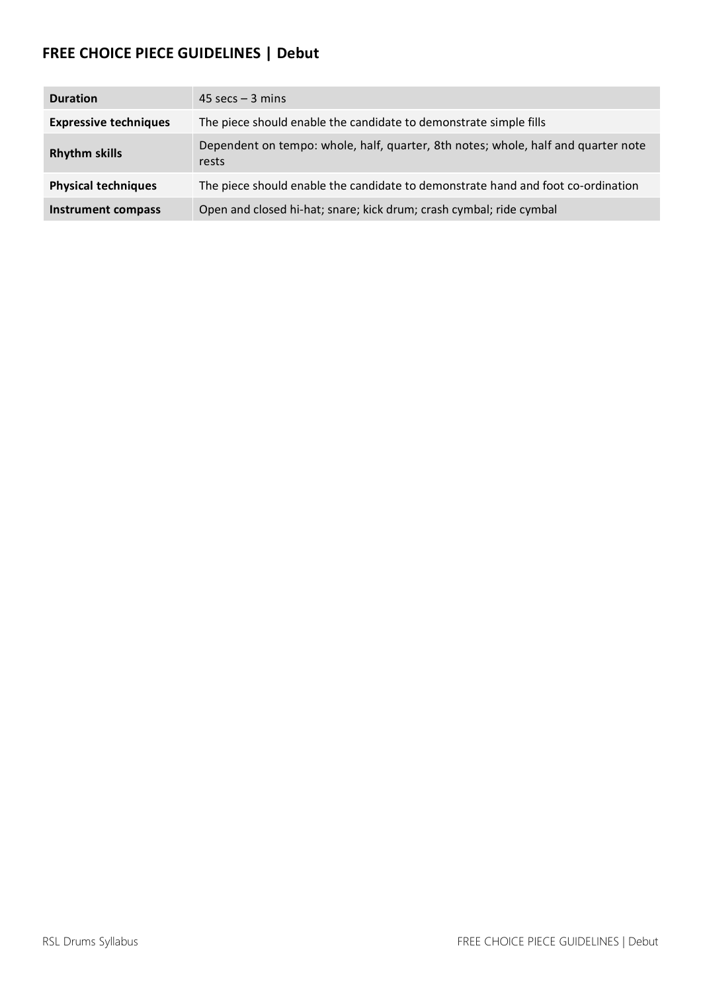#### **FREE CHOICE PIECE GUIDELINES | Debut**

| <b>Duration</b>              | $45 \text{ secs} - 3 \text{ mins}$                                                         |
|------------------------------|--------------------------------------------------------------------------------------------|
| <b>Expressive techniques</b> | The piece should enable the candidate to demonstrate simple fills                          |
| <b>Rhythm skills</b>         | Dependent on tempo: whole, half, quarter, 8th notes; whole, half and quarter note<br>rests |
| <b>Physical techniques</b>   | The piece should enable the candidate to demonstrate hand and foot co-ordination           |
| <b>Instrument compass</b>    | Open and closed hi-hat; snare; kick drum; crash cymbal; ride cymbal                        |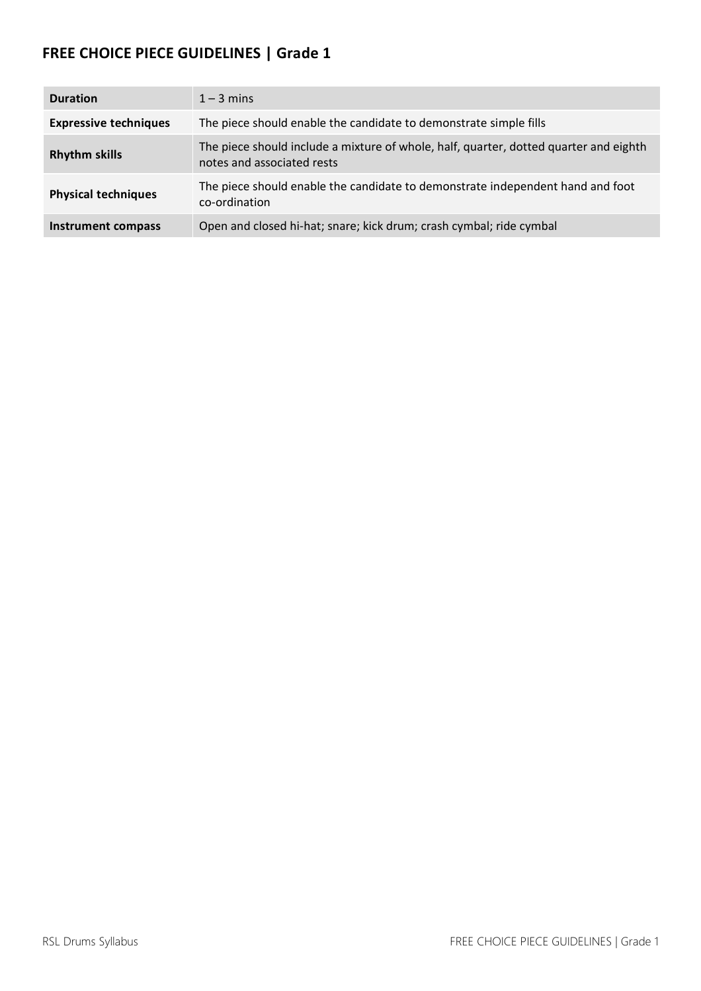| <b>Duration</b>              | $1 - 3$ mins                                                                                                        |
|------------------------------|---------------------------------------------------------------------------------------------------------------------|
| <b>Expressive techniques</b> | The piece should enable the candidate to demonstrate simple fills                                                   |
| <b>Rhythm skills</b>         | The piece should include a mixture of whole, half, quarter, dotted quarter and eighth<br>notes and associated rests |
| <b>Physical techniques</b>   | The piece should enable the candidate to demonstrate independent hand and foot<br>co-ordination                     |
| <b>Instrument compass</b>    | Open and closed hi-hat; snare; kick drum; crash cymbal; ride cymbal                                                 |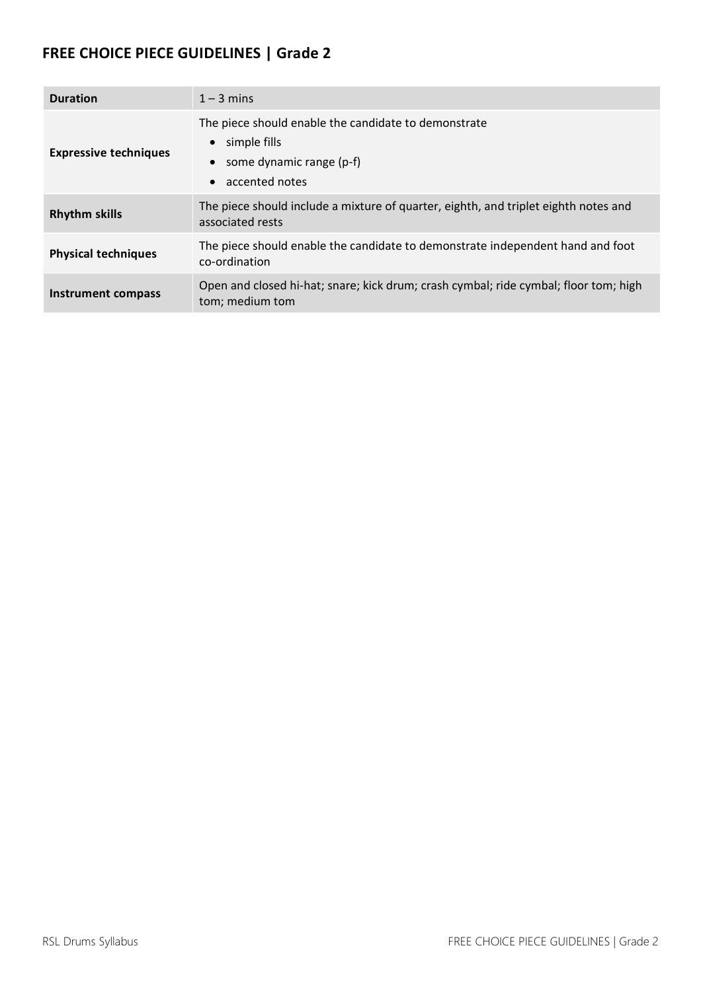| <b>Duration</b>              | $1 - 3$ mins                                                                                                                 |
|------------------------------|------------------------------------------------------------------------------------------------------------------------------|
| <b>Expressive techniques</b> | The piece should enable the candidate to demonstrate<br>$\bullet$ simple fills<br>some dynamic range (p-f)<br>accented notes |
| <b>Rhythm skills</b>         | The piece should include a mixture of quarter, eighth, and triplet eighth notes and<br>associated rests                      |
| <b>Physical techniques</b>   | The piece should enable the candidate to demonstrate independent hand and foot<br>co-ordination                              |
| Instrument compass           | Open and closed hi-hat; snare; kick drum; crash cymbal; ride cymbal; floor tom; high<br>tom; medium tom                      |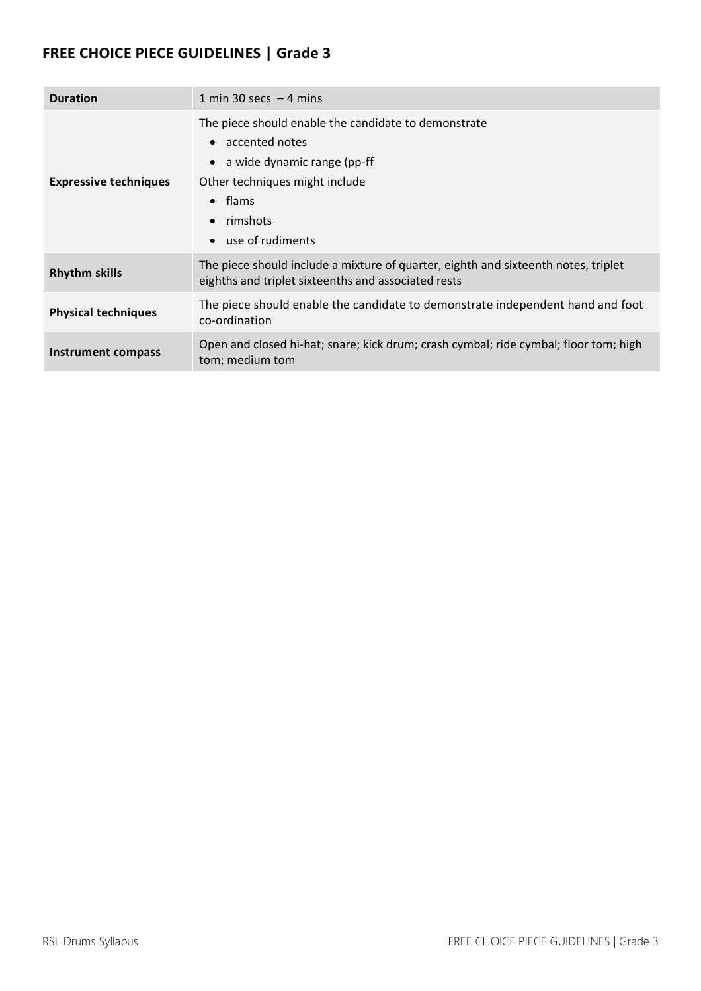| <b>Duration</b>              | 1 min 30 secs $-4$ mins                                                                                                                                                                                |
|------------------------------|--------------------------------------------------------------------------------------------------------------------------------------------------------------------------------------------------------|
| <b>Expressive techniques</b> | The piece should enable the candidate to demonstrate<br>• accented notes<br>$\bullet$ a wide dynamic range (pp-ff<br>Other techniques might include<br>$\bullet$ flams<br>rimshots<br>use of rudiments |
| <b>Rhythm skills</b>         | The piece should include a mixture of quarter, eighth and sixteenth notes, triplet<br>eighths and triplet sixteenths and associated rests                                                              |
| <b>Physical techniques</b>   | The piece should enable the candidate to demonstrate independent hand and foot<br>co-ordination                                                                                                        |
| Instrument compass           | Open and closed hi-hat; snare; kick drum; crash cymbal; ride cymbal; floor tom; high<br>tom; medium tom                                                                                                |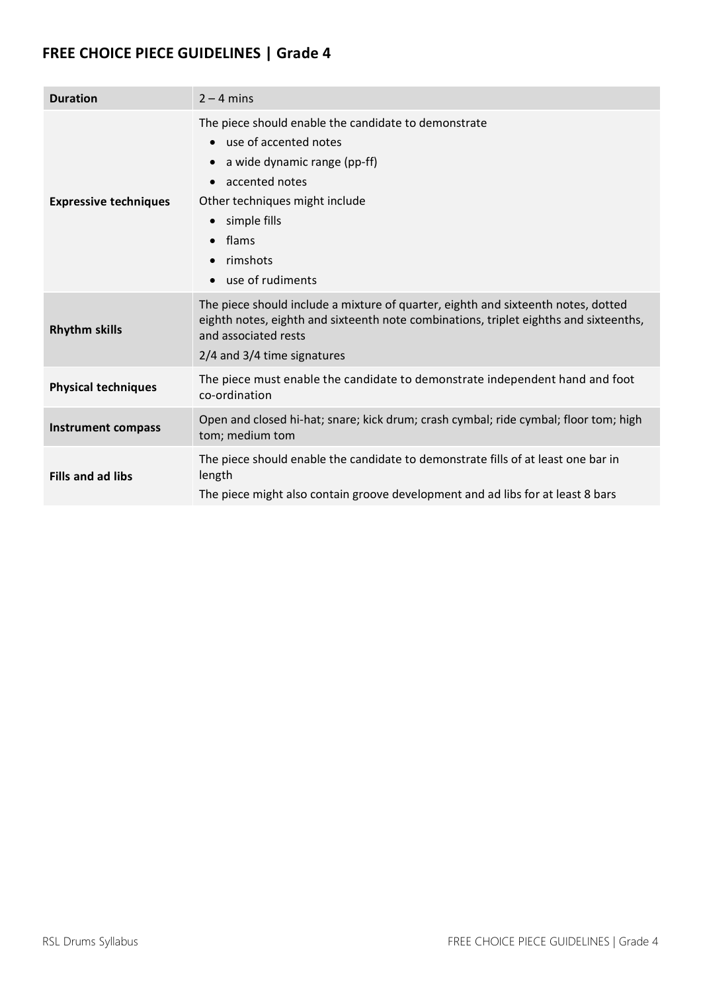| <b>Duration</b>              | $2 - 4$ mins                                                                                                                                                                                                                                                      |
|------------------------------|-------------------------------------------------------------------------------------------------------------------------------------------------------------------------------------------------------------------------------------------------------------------|
| <b>Expressive techniques</b> | The piece should enable the candidate to demonstrate<br>use of accented notes<br>$\bullet$<br>a wide dynamic range (pp-ff)<br>accented notes<br>Other techniques might include<br>simple fills<br>$\bullet$<br>flams<br>$\bullet$<br>rimshots<br>use of rudiments |
| <b>Rhythm skills</b>         | The piece should include a mixture of quarter, eighth and sixteenth notes, dotted<br>eighth notes, eighth and sixteenth note combinations, triplet eighths and sixteenths,<br>and associated rests<br>2/4 and 3/4 time signatures                                 |
| <b>Physical techniques</b>   | The piece must enable the candidate to demonstrate independent hand and foot<br>co-ordination                                                                                                                                                                     |
| <b>Instrument compass</b>    | Open and closed hi-hat; snare; kick drum; crash cymbal; ride cymbal; floor tom; high<br>tom; medium tom                                                                                                                                                           |
| <b>Fills and ad libs</b>     | The piece should enable the candidate to demonstrate fills of at least one bar in<br>length<br>The piece might also contain groove development and ad libs for at least 8 bars                                                                                    |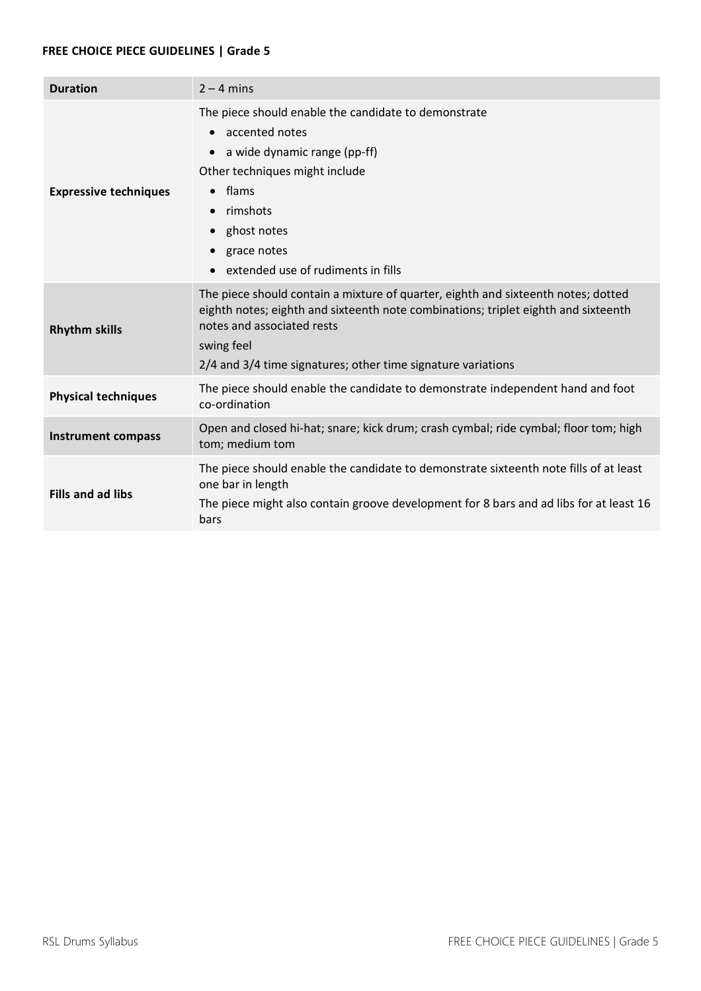| <b>Duration</b>              | $2 - 4$ mins                                                                                                                                                                                                                                                                          |
|------------------------------|---------------------------------------------------------------------------------------------------------------------------------------------------------------------------------------------------------------------------------------------------------------------------------------|
| <b>Expressive techniques</b> | The piece should enable the candidate to demonstrate<br>accented notes<br>a wide dynamic range (pp-ff)<br>Other techniques might include<br>flams<br>$\bullet$<br>rimshots<br>$\bullet$<br>ghost notes<br>grace notes<br>$\bullet$<br>extended use of rudiments in fills<br>$\bullet$ |
| <b>Rhythm skills</b>         | The piece should contain a mixture of quarter, eighth and sixteenth notes; dotted<br>eighth notes; eighth and sixteenth note combinations; triplet eighth and sixteenth<br>notes and associated rests<br>swing feel<br>2/4 and 3/4 time signatures; other time signature variations   |
| <b>Physical techniques</b>   | The piece should enable the candidate to demonstrate independent hand and foot<br>co-ordination                                                                                                                                                                                       |
| <b>Instrument compass</b>    | Open and closed hi-hat; snare; kick drum; crash cymbal; ride cymbal; floor tom; high<br>tom; medium tom                                                                                                                                                                               |
| <b>Fills and ad libs</b>     | The piece should enable the candidate to demonstrate sixteenth note fills of at least<br>one bar in length<br>The piece might also contain groove development for 8 bars and ad libs for at least 16<br>bars                                                                          |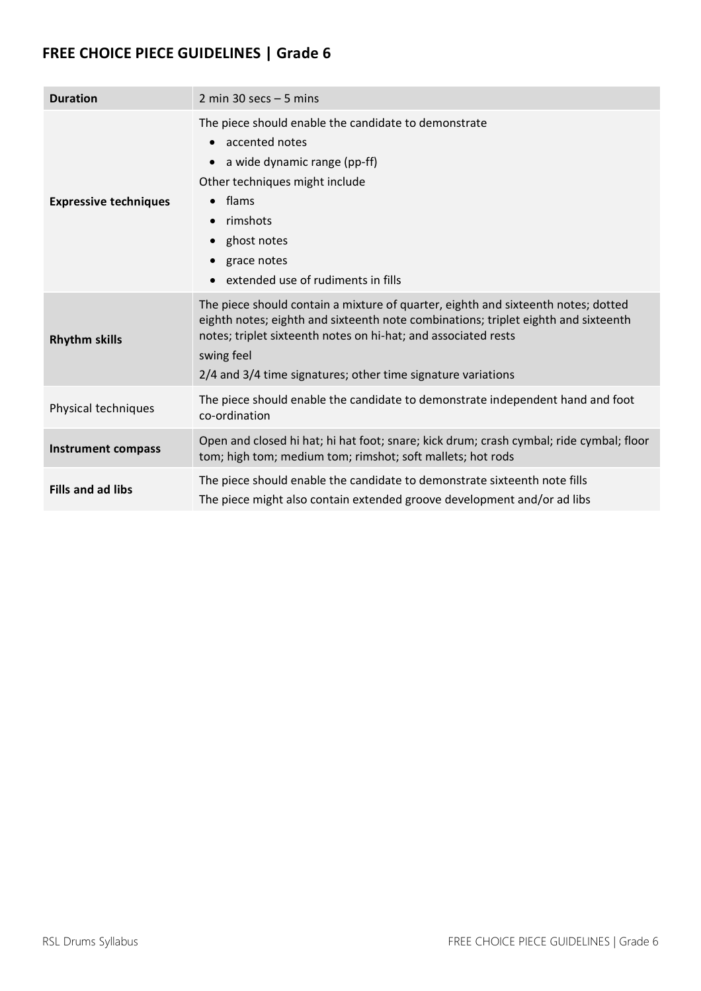| <b>Duration</b>              | 2 min 30 secs $-5$ mins                                                                                                                                                                                                                                                                                                 |
|------------------------------|-------------------------------------------------------------------------------------------------------------------------------------------------------------------------------------------------------------------------------------------------------------------------------------------------------------------------|
| <b>Expressive techniques</b> | The piece should enable the candidate to demonstrate<br>accented notes<br>a wide dynamic range (pp-ff)<br>Other techniques might include<br>flams<br>$\bullet$<br>rimshots<br>ghost notes<br>$\bullet$<br>grace notes<br>extended use of rudiments in fills                                                             |
| <b>Rhythm skills</b>         | The piece should contain a mixture of quarter, eighth and sixteenth notes; dotted<br>eighth notes; eighth and sixteenth note combinations; triplet eighth and sixteenth<br>notes; triplet sixteenth notes on hi-hat; and associated rests<br>swing feel<br>2/4 and 3/4 time signatures; other time signature variations |
| Physical techniques          | The piece should enable the candidate to demonstrate independent hand and foot<br>co-ordination                                                                                                                                                                                                                         |
| <b>Instrument compass</b>    | Open and closed hi hat; hi hat foot; snare; kick drum; crash cymbal; ride cymbal; floor<br>tom; high tom; medium tom; rimshot; soft mallets; hot rods                                                                                                                                                                   |
| <b>Fills and ad libs</b>     | The piece should enable the candidate to demonstrate sixteenth note fills<br>The piece might also contain extended groove development and/or ad libs                                                                                                                                                                    |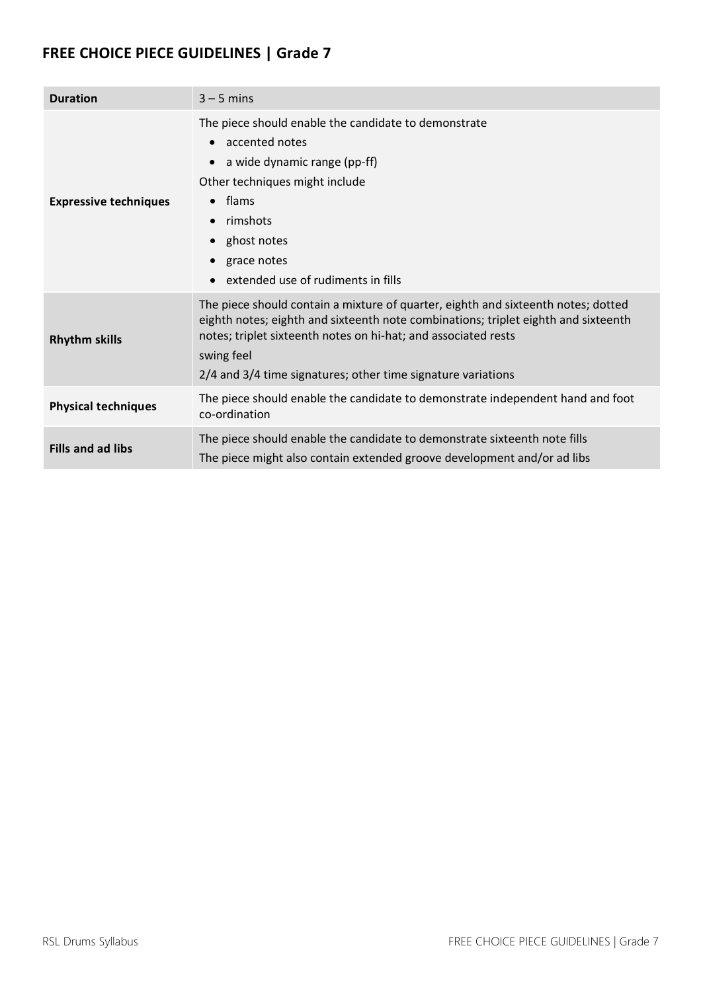| <b>Duration</b>              | $3 - 5$ mins                                                                                                                                                                                                                                                                                                            |
|------------------------------|-------------------------------------------------------------------------------------------------------------------------------------------------------------------------------------------------------------------------------------------------------------------------------------------------------------------------|
| <b>Expressive techniques</b> | The piece should enable the candidate to demonstrate<br>accented notes<br>a wide dynamic range (pp-ff)<br>Other techniques might include<br>flams<br>$\bullet$<br>rimshots<br>$\bullet$<br>ghost notes<br>grace notes<br>$\bullet$<br>extended use of rudiments in fills<br>$\bullet$                                   |
| <b>Rhythm skills</b>         | The piece should contain a mixture of quarter, eighth and sixteenth notes; dotted<br>eighth notes; eighth and sixteenth note combinations; triplet eighth and sixteenth<br>notes; triplet sixteenth notes on hi-hat; and associated rests<br>swing feel<br>2/4 and 3/4 time signatures; other time signature variations |
| <b>Physical techniques</b>   | The piece should enable the candidate to demonstrate independent hand and foot<br>co-ordination                                                                                                                                                                                                                         |
| <b>Fills and ad libs</b>     | The piece should enable the candidate to demonstrate sixteenth note fills<br>The piece might also contain extended groove development and/or ad libs                                                                                                                                                                    |